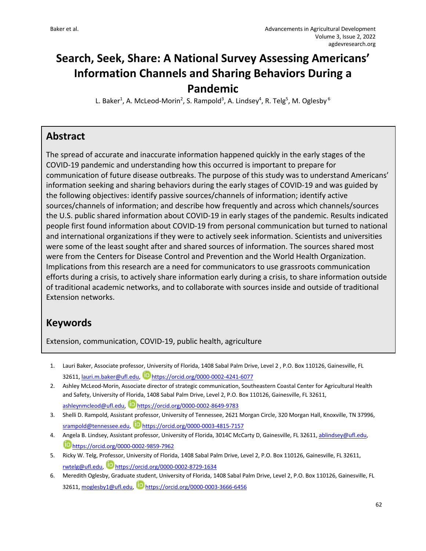# **Search, Seek, Share: A National Survey Assessing Americans' Information Channels and Sharing Behaviors During a Pandemic**

L. Baker<sup>1</sup>, A. McLeod-Morin<sup>2</sup>, S. Rampold<sup>3</sup>, A. Lindsey<sup>4</sup>, R. Telg<sup>5</sup>, M. Oglesby<sup>6</sup>

### **Abstract**

The spread of accurate and inaccurate information happened quickly in the early stages of the COVID-19 pandemic and understanding how this occurred is important to prepare for communication of future disease outbreaks. The purpose of this study was to understand Americans' information seeking and sharing behaviors during the early stages of COVID-19 and was guided by the following objectives: identify passive sources/channels of information; identify active sources/channels of information; and describe how frequently and across which channels/sources the U.S. public shared information about COVID-19 in early stages of the pandemic. Results indicated people first found information about COVID-19 from personal communication but turned to national and international organizations if they were to actively seek information. Scientists and universities were some of the least sought after and shared sources of information. The sources shared most were from the Centers for Disease Control and Prevention and the World Health Organization. Implications from this research are a need for communicators to use grassroots communication efforts during a crisis, to actively share information early during a crisis, to share information outside of traditional academic networks, and to collaborate with sources inside and outside of traditional Extension networks.

## **Keywords**

Extension, communication, COVID-19, public health, agriculture

- 1. Lauri Baker, Associate professor, University of Florida, 1408 Sabal Palm Drive, Level 2 , P.O. Box 110126, Gainesville, FL 32611, lauri.m.baker@ufl.edu, https://orcid.org/0000-0002-4241-6077
- 2. Ashley McLeod-Morin, Associate director of strategic communication, Southeastern Coastal Center for Agricultural Health and Safety, University of Florida, 1408 Sabal Palm Drive, Level 2, P.O. Box 110126, Gainesville, FL 32611, ashleynmcleod@ufl.edu, Dhttps://orcid.org/0000-0002-8649-9783
- 3. Shelli D. Rampold, Assistant professor, University of Tennessee, 2621 Morgan Circle, 320 Morgan Hall, Knoxville, TN 37996, srampold@tennessee.edu, https://orcid.org/0000-0003-4815-7157
- 4. Angela B. Lindsey, Assistant professor, University of Florida, 3014C McCarty D, Gainesville, FL 32611, ablindsey@ufl.edu, https://orcid.org/0000-0002-9859-7962
- 5. Ricky W. Telg, Professor, University of Florida, 1408 Sabal Palm Drive, Level 2, P.O. Box 110126, Gainesville, FL 32611, rwtelg@ufl.edu, Dhttps://orcid.org/0000-0002-8729-1634
- 6. Meredith Oglesby, Graduate student, University of Florida, 1408 Sabal Palm Drive, Level 2, P.O. Box 110126, Gainesville, FL 32611, moglesby1@ufl.edu, https://orcid.org/0000-0003-3666-6456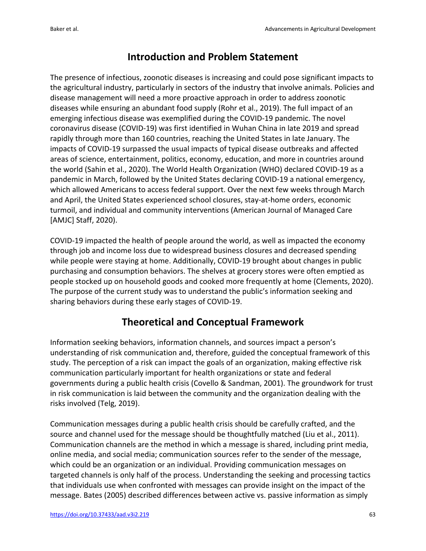## **Introduction and Problem Statement**

The presence of infectious, zoonotic diseases is increasing and could pose significant impacts to the agricultural industry, particularly in sectors of the industry that involve animals. Policies and disease management will need a more proactive approach in order to address zoonotic diseases while ensuring an abundant food supply (Rohr et al., 2019). The full impact of an emerging infectious disease was exemplified during the COVID-19 pandemic. The novel coronavirus disease (COVID-19) was first identified in Wuhan China in late 2019 and spread rapidly through more than 160 countries, reaching the United States in late January. The impacts of COVID-19 surpassed the usual impacts of typical disease outbreaks and affected areas of science, entertainment, politics, economy, education, and more in countries around the world (Sahin et al., 2020). The World Health Organization (WHO) declared COVID-19 as a pandemic in March, followed by the United States declaring COVID-19 a national emergency, which allowed Americans to access federal support. Over the next few weeks through March and April, the United States experienced school closures, stay-at-home orders, economic turmoil, and individual and community interventions (American Journal of Managed Care [AMJC] Staff, 2020).

COVID-19 impacted the health of people around the world, as well as impacted the economy through job and income loss due to widespread business closures and decreased spending while people were staying at home. Additionally, COVID-19 brought about changes in public purchasing and consumption behaviors. The shelves at grocery stores were often emptied as people stocked up on household goods and cooked more frequently at home (Clements, 2020). The purpose of the current study was to understand the public's information seeking and sharing behaviors during these early stages of COVID-19.

## **Theoretical and Conceptual Framework**

Information seeking behaviors, information channels, and sources impact a person's understanding of risk communication and, therefore, guided the conceptual framework of this study. The perception of a risk can impact the goals of an organization, making effective risk communication particularly important for health organizations or state and federal governments during a public health crisis (Covello & Sandman, 2001). The groundwork for trust in risk communication is laid between the community and the organization dealing with the risks involved (Telg, 2019).

Communication messages during a public health crisis should be carefully crafted, and the source and channel used for the message should be thoughtfully matched (Liu et al., 2011). Communication channels are the method in which a message is shared, including print media, online media, and social media; communication sources refer to the sender of the message, which could be an organization or an individual. Providing communication messages on targeted channels is only half of the process. Understanding the seeking and processing tactics that individuals use when confronted with messages can provide insight on the impact of the message. Bates (2005) described differences between active vs. passive information as simply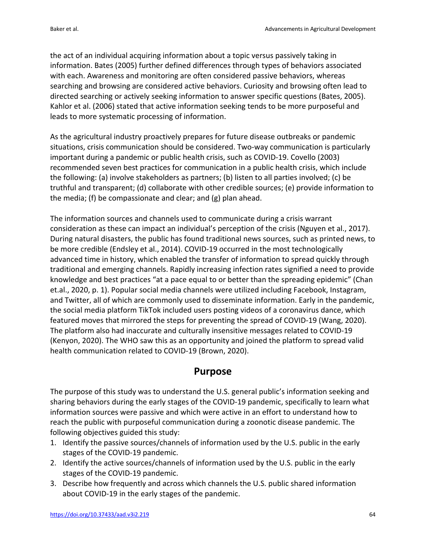the act of an individual acquiring information about a topic versus passively taking in information. Bates (2005) further defined differences through types of behaviors associated with each. Awareness and monitoring are often considered passive behaviors, whereas searching and browsing are considered active behaviors. Curiosity and browsing often lead to directed searching or actively seeking information to answer specific questions (Bates, 2005). Kahlor et al. (2006) stated that active information seeking tends to be more purposeful and leads to more systematic processing of information.

As the agricultural industry proactively prepares for future disease outbreaks or pandemic situations, crisis communication should be considered. Two-way communication is particularly important during a pandemic or public health crisis, such as COVID-19. Covello (2003) recommended seven best practices for communication in a public health crisis, which include the following: (a) involve stakeholders as partners; (b) listen to all parties involved; (c) be truthful and transparent; (d) collaborate with other credible sources; (e) provide information to the media; (f) be compassionate and clear; and (g) plan ahead.

The information sources and channels used to communicate during a crisis warrant consideration as these can impact an individual's perception of the crisis (Nguyen et al., 2017). During natural disasters, the public has found traditional news sources, such as printed news, to be more credible (Endsley et al., 2014). COVID-19 occurred in the most technologically advanced time in history, which enabled the transfer of information to spread quickly through traditional and emerging channels. Rapidly increasing infection rates signified a need to provide knowledge and best practices "at a pace equal to or better than the spreading epidemic" (Chan et.al., 2020, p. 1). Popular social media channels were utilized including Facebook, Instagram, and Twitter, all of which are commonly used to disseminate information. Early in the pandemic, the social media platform TikTok included users posting videos of a coronavirus dance, which featured moves that mirrored the steps for preventing the spread of COVID-19 (Wang, 2020). The platform also had inaccurate and culturally insensitive messages related to COVID-19 (Kenyon, 2020). The WHO saw this as an opportunity and joined the platform to spread valid health communication related to COVID-19 (Brown, 2020).

### **Purpose**

The purpose of this study was to understand the U.S. general public's information seeking and sharing behaviors during the early stages of the COVID-19 pandemic, specifically to learn what information sources were passive and which were active in an effort to understand how to reach the public with purposeful communication during a zoonotic disease pandemic. The following objectives guided this study:

- 1. Identify the passive sources/channels of information used by the U.S. public in the early stages of the COVID-19 pandemic.
- 2. Identify the active sources/channels of information used by the U.S. public in the early stages of the COVID-19 pandemic.
- 3. Describe how frequently and across which channels the U.S. public shared information about COVID-19 in the early stages of the pandemic.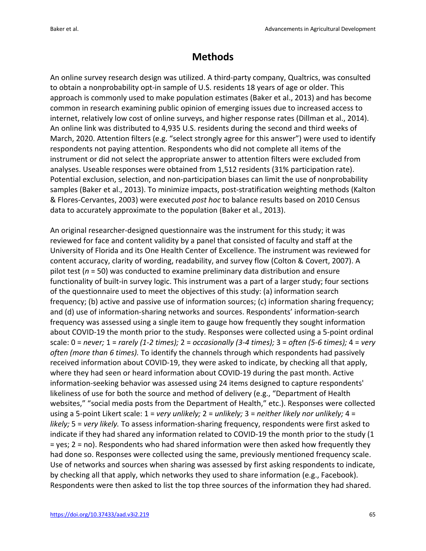## **Methods**

An online survey research design was utilized. A third-party company, Qualtrics, was consulted to obtain a nonprobability opt-in sample of U.S. residents 18 years of age or older. This approach is commonly used to make population estimates (Baker et al., 2013) and has become common in research examining public opinion of emerging issues due to increased access to internet, relatively low cost of online surveys, and higher response rates (Dillman et al., 2014). An online link was distributed to 4,935 U.S. residents during the second and third weeks of March, 2020. Attention filters (e.g. "select strongly agree for this answer") were used to identify respondents not paying attention. Respondents who did not complete all items of the instrument or did not select the appropriate answer to attention filters were excluded from analyses. Useable responses were obtained from 1,512 residents (31% participation rate). Potential exclusion, selection, and non-participation biases can limit the use of nonprobability samples (Baker et al., 2013). To minimize impacts, post-stratification weighting methods (Kalton & Flores-Cervantes, 2003) were executed *post hoc* to balance results based on 2010 Census data to accurately approximate to the population (Baker et al., 2013).

An original researcher-designed questionnaire was the instrument for this study; it was reviewed for face and content validity by a panel that consisted of faculty and staff at the University of Florida and its One Health Center of Excellence. The instrument was reviewed for content accuracy, clarity of wording, readability, and survey flow (Colton & Covert, 2007). A pilot test (*n* = 50) was conducted to examine preliminary data distribution and ensure functionality of built-in survey logic. This instrument was a part of a larger study; four sections of the questionnaire used to meet the objectives of this study: (a) information search frequency; (b) active and passive use of information sources; (c) information sharing frequency; and (d) use of information-sharing networks and sources. Respondents' information-search frequency was assessed using a single item to gauge how frequently they sought information about COVID-19 the month prior to the study. Responses were collected using a 5-point ordinal scale: 0 = *never;* 1 = *rarely (1-2 times);* 2 = *occasionally (3-4 times);* 3 = *often (5-6 times);* 4 = *very often (more than 6 times).* To identify the channels through which respondents had passively received information about COVID-19, they were asked to indicate, by checking all that apply, where they had seen or heard information about COVID-19 during the past month. Active information-seeking behavior was assessed using 24 items designed to capture respondents' likeliness of use for both the source and method of delivery (e.g., "Department of Health websites," "social media posts from the Department of Health," etc.). Responses were collected using a 5-point Likert scale: 1 = *very unlikely;* 2 = *unlikely;* 3 = *neither likely nor unlikely;* 4 = *likely;* 5 = *very likely.* To assess information-sharing frequency, respondents were first asked to indicate if they had shared any information related to COVID-19 the month prior to the study (1 = yes; 2 = no). Respondents who had shared information were then asked how frequently they had done so. Responses were collected using the same, previously mentioned frequency scale. Use of networks and sources when sharing was assessed by first asking respondents to indicate, by checking all that apply, which networks they used to share information (e.g., Facebook). Respondents were then asked to list the top three sources of the information they had shared.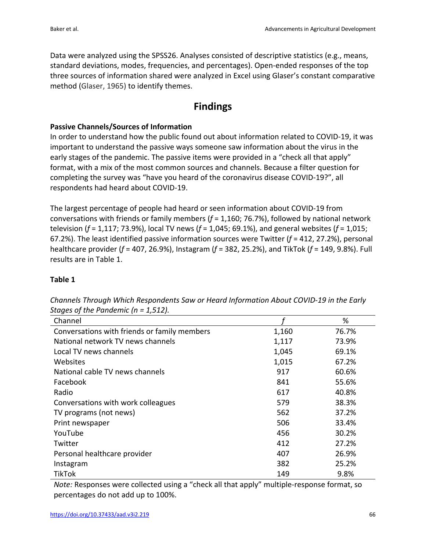Data were analyzed using the SPSS26. Analyses consisted of descriptive statistics (e.g., means, standard deviations, modes, frequencies, and percentages). Open-ended responses of the top three sources of information shared were analyzed in Excel using Glaser's constant comparative method (Glaser, 1965) to identify themes.

### **Findings**

#### **Passive Channels/Sources of Information**

In order to understand how the public found out about information related to COVID-19, it was important to understand the passive ways someone saw information about the virus in the early stages of the pandemic. The passive items were provided in a "check all that apply" format, with a mix of the most common sources and channels. Because a filter question for completing the survey was "have you heard of the coronavirus disease COVID-19?", all respondents had heard about COVID-19.

The largest percentage of people had heard or seen information about COVID-19 from conversations with friends or family members (*f* = 1,160; 76.7%), followed by national network television (*f* = 1,117; 73.9%), local TV news (*f* = 1,045; 69.1%), and general websites (*f* = 1,015; 67.2%). The least identified passive information sources were Twitter (*f* = 412, 27.2%), personal healthcare provider (*f* = 407, 26.9%), Instagram (*f* = 382, 25.2%), and TikTok (*f* = 149, 9.8%). Full results are in Table 1.

### **Table 1**

| Channel                                      |       | %     |
|----------------------------------------------|-------|-------|
| Conversations with friends or family members | 1,160 | 76.7% |
| National network TV news channels            | 1,117 | 73.9% |
| Local TV news channels                       | 1,045 | 69.1% |
| Websites                                     | 1,015 | 67.2% |
| National cable TV news channels              | 917   | 60.6% |
| Facebook                                     | 841   | 55.6% |
| Radio                                        | 617   | 40.8% |
| Conversations with work colleagues           | 579   | 38.3% |
| TV programs (not news)                       | 562   | 37.2% |
| Print newspaper                              | 506   | 33.4% |
| YouTube                                      | 456   | 30.2% |
| Twitter                                      | 412   | 27.2% |
| Personal healthcare provider                 | 407   | 26.9% |
| Instagram                                    | 382   | 25.2% |
| <b>TikTok</b>                                | 149   | 9.8%  |

*Channels Through Which Respondents Saw or Heard Information About COVID-19 in the Early Stages of the Pandemic (n = 1,512).*

*Note:* Responses were collected using a "check all that apply" multiple-response format, so percentages do not add up to 100%.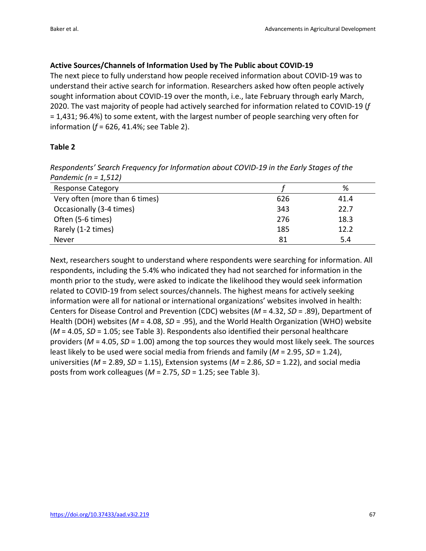#### **Active Sources/Channels of Information Used by The Public about COVID-19**

The next piece to fully understand how people received information about COVID-19 was to understand their active search for information. Researchers asked how often people actively sought information about COVID-19 over the month, i.e., late February through early March, 2020. The vast majority of people had actively searched for information related to COVID-19 (*f* = 1,431; 96.4%) to some extent, with the largest number of people searching very often for information (*f* = 626, 41.4%; see Table 2).

#### **Table 2**

*Respondents' Search Frequency for Information about COVID-19 in the Early Stages of the Pandemic (n = 1,512)*

| <b>Response Category</b>       |     | %    |
|--------------------------------|-----|------|
| Very often (more than 6 times) | 626 | 41.4 |
| Occasionally (3-4 times)       | 343 | 22.7 |
| Often (5-6 times)              | 276 | 18.3 |
| Rarely (1-2 times)             | 185 | 12.2 |
| Never                          | 81  | 5.4  |

Next, researchers sought to understand where respondents were searching for information. All respondents, including the 5.4% who indicated they had not searched for information in the month prior to the study, were asked to indicate the likelihood they would seek information related to COVID-19 from select sources/channels. The highest means for actively seeking information were all for national or international organizations' websites involved in health: Centers for Disease Control and Prevention (CDC) websites (*M* = 4.32, *SD* = .89), Department of Health (DOH) websites (*M* = 4.08, *SD* = .95), and the World Health Organization (WHO) website (*M* = 4.05, *SD* = 1.05; see Table 3). Respondents also identified their personal healthcare providers (*M* = 4.05, *SD* = 1.00) among the top sources they would most likely seek. The sources least likely to be used were social media from friends and family (*M* = 2.95, *SD* = 1.24), universities (*M* = 2.89, *SD* = 1.15), Extension systems (*M* = 2.86, *SD* = 1.22), and social media posts from work colleagues (*M* = 2.75, *SD* = 1.25; see Table 3).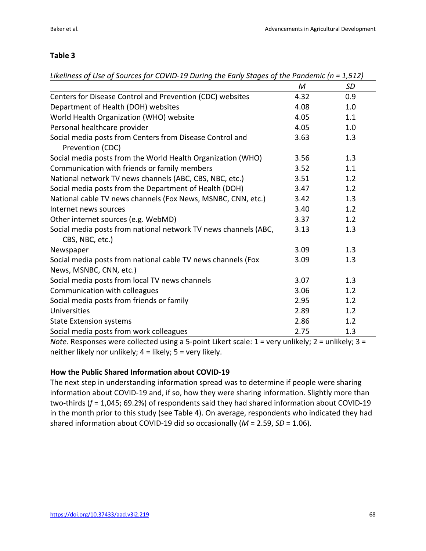#### **Table 3**

| Likeliness of Use of Sources for COVID-19 During the Early Stages of the Pandemic (n = 1,512) |  |  |
|-----------------------------------------------------------------------------------------------|--|--|
|                                                                                               |  |  |

|                                                                                                    | M    | <b>SD</b> |
|----------------------------------------------------------------------------------------------------|------|-----------|
| Centers for Disease Control and Prevention (CDC) websites                                          | 4.32 | 0.9       |
| Department of Health (DOH) websites                                                                | 4.08 | 1.0       |
| World Health Organization (WHO) website                                                            | 4.05 | 1.1       |
| Personal healthcare provider                                                                       | 4.05 | 1.0       |
| Social media posts from Centers from Disease Control and<br>Prevention (CDC)                       | 3.63 | 1.3       |
| Social media posts from the World Health Organization (WHO)                                        | 3.56 | 1.3       |
| Communication with friends or family members                                                       | 3.52 | 1.1       |
| National network TV news channels (ABC, CBS, NBC, etc.)                                            | 3.51 | 1.2       |
| Social media posts from the Department of Health (DOH)                                             | 3.47 | 1.2       |
| National cable TV news channels (Fox News, MSNBC, CNN, etc.)                                       | 3.42 | 1.3       |
| Internet news sources                                                                              | 3.40 | 1.2       |
| Other internet sources (e.g. WebMD)                                                                | 3.37 | 1.2       |
| Social media posts from national network TV news channels (ABC,<br>CBS, NBC, etc.)                 | 3.13 | 1.3       |
| Newspaper                                                                                          | 3.09 | 1.3       |
| Social media posts from national cable TV news channels (Fox<br>News, MSNBC, CNN, etc.)            | 3.09 | 1.3       |
| Social media posts from local TV news channels                                                     | 3.07 | 1.3       |
| Communication with colleagues                                                                      | 3.06 | 1.2       |
| Social media posts from friends or family                                                          | 2.95 | 1.2       |
| Universities                                                                                       | 2.89 | 1.2       |
| <b>State Extension systems</b>                                                                     | 2.86 | 1.2       |
| Social media posts from work colleagues                                                            | 2.75 | 1.3       |
| $A$ eta Bespenses were collected using a E-point Likert scale: 1 – verwunlikely: 2 – unlikely: 2 – |      |           |

*Note.* Responses were collected using a 5-point Likert scale: 1 = very unlikely; 2 = unlikely; 3 = neither likely nor unlikely; 4 = likely; 5 = very likely.

#### **How the Public Shared Information about COVID-19**

The next step in understanding information spread was to determine if people were sharing information about COVID-19 and, if so, how they were sharing information. Slightly more than two-thirds (*f* = 1,045; 69.2%) of respondents said they had shared information about COVID-19 in the month prior to this study (see Table 4). On average, respondents who indicated they had shared information about COVID-19 did so occasionally (*M* = 2.59, *SD* = 1.06).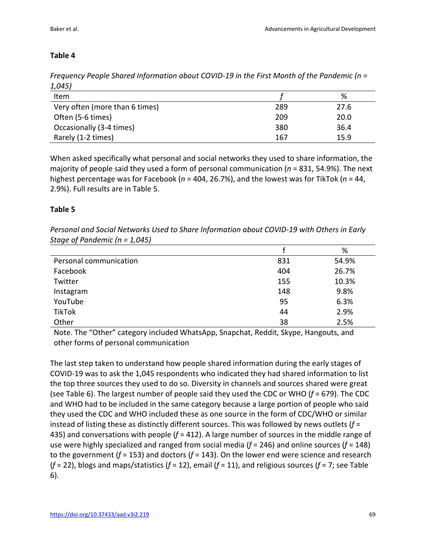### **Table 4**

*Frequency People Shared Information about COVID-19 in the First Month of the Pandemic (n = 1,045)*

| $+,-,-,-$                      |     |      |
|--------------------------------|-----|------|
| Item                           |     | %    |
| Very often (more than 6 times) | 289 | 27.6 |
| Often (5-6 times)              | 209 | 20.0 |
| Occasionally (3-4 times)       | 380 | 36.4 |
| Rarely (1-2 times)             | 167 | 15.9 |

When asked specifically what personal and social networks they used to share information, the majority of people said they used a form of personal communication (*n* = 831, 54.9%). The next highest percentage was for Facebook (*n* = 404, 26.7%), and the lowest was for TikTok (*n* = 44, 2.9%). Full results are in Table 5.

#### **Table 5**

*Personal and Social Networks Used to Share Information about COVID-19 with Others in Early Stage of Pandemic (n = 1,045)*

|                        |     | %     |
|------------------------|-----|-------|
| Personal communication | 831 | 54.9% |
| Facebook               | 404 | 26.7% |
| Twitter                | 155 | 10.3% |
| Instagram              | 148 | 9.8%  |
| YouTube                | 95  | 6.3%  |
| TikTok                 | 44  | 2.9%  |
| Other                  | 38  | 2.5%  |

Note. The "Other" category included WhatsApp, Snapchat, Reddit, Skype, Hangouts, and other forms of personal communication

The last step taken to understand how people shared information during the early stages of COVID-19 was to ask the 1,045 respondents who indicated they had shared information to list the top three sources they used to do so. Diversity in channels and sources shared were great (see Table 6). The largest number of people said they used the CDC or WHO (*f* = 679). The CDC and WHO had to be included in the same category because a large portion of people who said they used the CDC and WHO included these as one source in the form of CDC/WHO or similar instead of listing these as distinctly different sources. This was followed by news outlets (*f* = 435) and conversations with people (*f* = 412). A large number of sources in the middle range of use were highly specialized and ranged from social media (*f* = 246) and online sources (*f* = 148) to the government (*f* = 153) and doctors (*f* = 143). On the lower end were science and research (*f* = 22), blogs and maps/statistics (*f* = 12), email (*f* = 11), and religious sources (*f* = 7; see Table 6).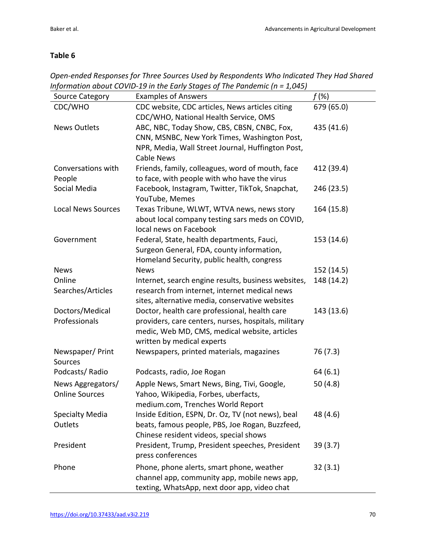### **Table 6**

*Open-ended Responses for Three Sources Used by Respondents Who Indicated They Had Shared Information about COVID-19 in the Early Stages of The Pandemic (n = 1,045)*  $\overline{\phantom{a}}$ 

| <b>Source Category</b>                     | <b>Examples of Answers</b>                                                | $f(\%)$    |
|--------------------------------------------|---------------------------------------------------------------------------|------------|
| CDC/WHO                                    | CDC website, CDC articles, News articles citing                           | 679 (65.0) |
|                                            | CDC/WHO, National Health Service, OMS                                     |            |
| <b>News Outlets</b>                        | ABC, NBC, Today Show, CBS, CBSN, CNBC, Fox,                               | 435 (41.6) |
|                                            | CNN, MSNBC, New York Times, Washington Post,                              |            |
|                                            | NPR, Media, Wall Street Journal, Huffington Post,                         |            |
|                                            | <b>Cable News</b>                                                         |            |
| Conversations with                         | Friends, family, colleagues, word of mouth, face                          | 412 (39.4) |
| People                                     | to face, with people with who have the virus                              |            |
| Social Media                               | Facebook, Instagram, Twitter, TikTok, Snapchat,                           | 246 (23.5) |
|                                            | YouTube, Memes                                                            |            |
| <b>Local News Sources</b>                  | Texas Tribune, WLWT, WTVA news, news story                                | 164 (15.8) |
|                                            | about local company testing sars meds on COVID,                           |            |
|                                            | local news on Facebook                                                    |            |
| Government                                 | Federal, State, health departments, Fauci,                                | 153 (14.6) |
|                                            | Surgeon General, FDA, county information,                                 |            |
|                                            | Homeland Security, public health, congress                                |            |
| <b>News</b>                                | <b>News</b>                                                               | 152 (14.5) |
| Online                                     | Internet, search engine results, business websites,                       | 148 (14.2) |
| Searches/Articles                          | research from internet, internet medical news                             |            |
|                                            | sites, alternative media, conservative websites                           |            |
| Doctors/Medical                            | Doctor, health care professional, health care                             | 143 (13.6) |
| Professionals                              | providers, care centers, nurses, hospitals, military                      |            |
|                                            | medic, Web MD, CMS, medical website, articles                             |            |
|                                            | written by medical experts                                                |            |
| Newspaper/Print<br>Sources                 | Newspapers, printed materials, magazines                                  | 76 (7.3)   |
| Podcasts/Radio                             | Podcasts, radio, Joe Rogan                                                | 64(6.1)    |
|                                            |                                                                           |            |
| News Aggregators/<br><b>Online Sources</b> | Apple News, Smart News, Bing, Tivi, Google,                               | 50 $(4.8)$ |
|                                            | Yahoo, Wikipedia, Forbes, uberfacts,<br>medium.com, Trenches World Report |            |
|                                            | Inside Edition, ESPN, Dr. Oz, TV (not news), beal                         | 48 (4.6)   |
| <b>Specialty Media</b><br>Outlets          | beats, famous people, PBS, Joe Rogan, Buzzfeed,                           |            |
|                                            | Chinese resident videos, special shows                                    |            |
| President                                  | President, Trump, President speeches, President                           | 39(3.7)    |
|                                            | press conferences                                                         |            |
|                                            |                                                                           |            |
| Phone                                      | Phone, phone alerts, smart phone, weather                                 | 32(3.1)    |
|                                            | channel app, community app, mobile news app,                              |            |
|                                            | texting, WhatsApp, next door app, video chat                              |            |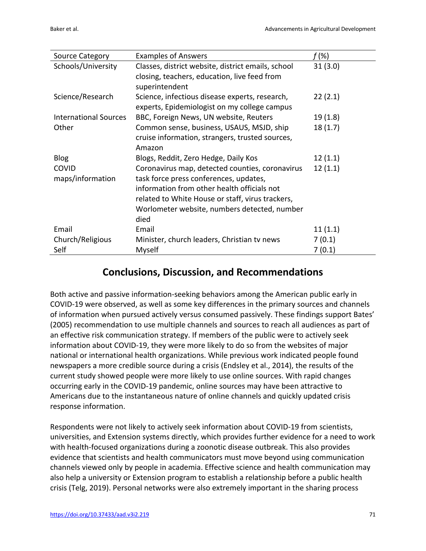| <b>Source Category</b>       | <b>Examples of Answers</b>                         | f (%)   |
|------------------------------|----------------------------------------------------|---------|
| Schools/University           | Classes, district website, district emails, school | 31(3.0) |
|                              | closing, teachers, education, live feed from       |         |
|                              | superintendent                                     |         |
| Science/Research             | Science, infectious disease experts, research,     | 22(2.1) |
|                              | experts, Epidemiologist on my college campus       |         |
| <b>International Sources</b> | BBC, Foreign News, UN website, Reuters             | 19(1.8) |
| Other                        | Common sense, business, USAUS, MSJD, ship          | 18(1.7) |
|                              | cruise information, strangers, trusted sources,    |         |
|                              | Amazon                                             |         |
| <b>Blog</b>                  | Blogs, Reddit, Zero Hedge, Daily Kos               | 12(1.1) |
| <b>COVID</b>                 | Coronavirus map, detected counties, coronavirus    | 12(1.1) |
| maps/information             | task force press conferences, updates,             |         |
|                              | information from other health officials not        |         |
|                              | related to White House or staff, virus trackers,   |         |
|                              | Worlometer website, numbers detected, number       |         |
|                              | died                                               |         |
| Email                        | Email                                              | 11(1.1) |
| Church/Religious             | Minister, church leaders, Christian tv news        | 7(0.1)  |
| Self                         | Myself                                             | 7(0.1)  |

### **Conclusions, Discussion, and Recommendations**

Both active and passive information-seeking behaviors among the American public early in COVID-19 were observed, as well as some key differences in the primary sources and channels of information when pursued actively versus consumed passively. These findings support Bates' (2005) recommendation to use multiple channels and sources to reach all audiences as part of an effective risk communication strategy. If members of the public were to actively seek information about COVID-19, they were more likely to do so from the websites of major national or international health organizations. While previous work indicated people found newspapers a more credible source during a crisis (Endsley et al., 2014), the results of the current study showed people were more likely to use online sources. With rapid changes occurring early in the COVID-19 pandemic, online sources may have been attractive to Americans due to the instantaneous nature of online channels and quickly updated crisis response information.

Respondents were not likely to actively seek information about COVID-19 from scientists, universities, and Extension systems directly, which provides further evidence for a need to work with health-focused organizations during a zoonotic disease outbreak. This also provides evidence that scientists and health communicators must move beyond using communication channels viewed only by people in academia. Effective science and health communication may also help a university or Extension program to establish a relationship before a public health crisis (Telg, 2019). Personal networks were also extremely important in the sharing process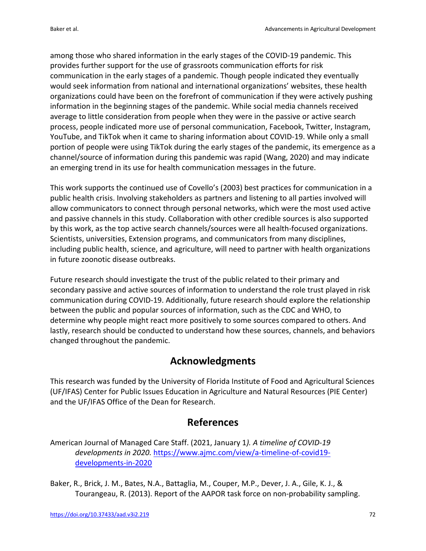among those who shared information in the early stages of the COVID-19 pandemic. This provides further support for the use of grassroots communication efforts for risk communication in the early stages of a pandemic. Though people indicated they eventually would seek information from national and international organizations' websites, these health organizations could have been on the forefront of communication if they were actively pushing information in the beginning stages of the pandemic. While social media channels received average to little consideration from people when they were in the passive or active search process, people indicated more use of personal communication, Facebook, Twitter, Instagram, YouTube, and TikTok when it came to sharing information about COVID-19. While only a small portion of people were using TikTok during the early stages of the pandemic, its emergence as a channel/source of information during this pandemic was rapid (Wang, 2020) and may indicate an emerging trend in its use for health communication messages in the future.

This work supports the continued use of Covello's (2003) best practices for communication in a public health crisis. Involving stakeholders as partners and listening to all parties involved will allow communicators to connect through personal networks, which were the most used active and passive channels in this study. Collaboration with other credible sources is also supported by this work, as the top active search channels/sources were all health-focused organizations. Scientists, universities, Extension programs, and communicators from many disciplines, including public health, science, and agriculture, will need to partner with health organizations in future zoonotic disease outbreaks.

Future research should investigate the trust of the public related to their primary and secondary passive and active sources of information to understand the role trust played in risk communication during COVID-19. Additionally, future research should explore the relationship between the public and popular sources of information, such as the CDC and WHO, to determine why people might react more positively to some sources compared to others. And lastly, research should be conducted to understand how these sources, channels, and behaviors changed throughout the pandemic.

## **Acknowledgments**

This research was funded by the University of Florida Institute of Food and Agricultural Sciences (UF/IFAS) Center for Public Issues Education in Agriculture and Natural Resources (PIE Center) and the UF/IFAS Office of the Dean for Research.

## **References**

American Journal of Managed Care Staff. (2021, January 1*). A timeline of COVID-19 developments in 2020.* https://www.ajmc.com/view/a-timeline-of-covid19 developments-in-2020

Baker, R., Brick, J. M., Bates, N.A., Battaglia, M., Couper, M.P., Dever, J. A., Gile, K. J., & Tourangeau, R. (2013). Report of the AAPOR task force on non-probability sampling.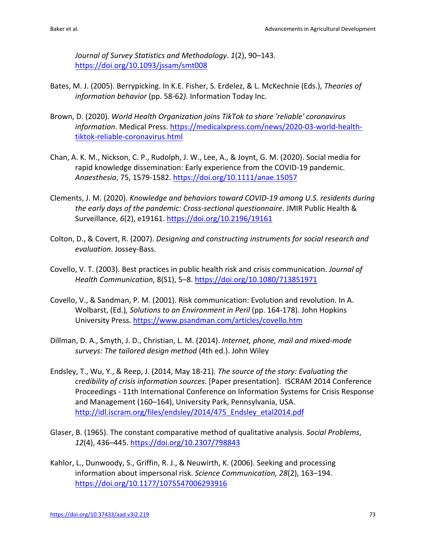*Journal of Survey Statistics and Methodology*. *1*(2), 90–143. https://doi.org/10.1093/jssam/smt008

- Bates, M. J. (2005). Berrypicking. In K.E. Fisher, S. Erdelez, & L. McKechnie (Eds.), *Theories of information behavior* (pp. 58-62*).* Information Today Inc*.*
- Brown, D. (2020). *World Health Organization joins TikTok to share 'reliable' coronavirus information*. Medical Press. https://medicalxpress.com/news/2020-03-world-healthtiktok-reliable-coronavirus.html
- Chan, A. K. M., Nickson, C. P., Rudolph, J. W., Lee, A., & Joynt, G. M. (2020). Social media for rapid knowledge dissemination: Early experience from the COVID-19 pandemic. *Anaesthesia*, 75, 1579-1582. https://doi.org/10.1111/anae.15057
- Clements, J. M. (2020). *Knowledge and behaviors toward COVID-19 among U.S. residents during the early days of the pandemic: Cross-sectional questionnaire*. JMIR Public Health & Surveillance, *6*(2), e19161. https://doi.org/10.2196/19161
- Colton, D., & Covert, R. (2007). *Designing and constructing instruments for social research and evaluation*. Jossey-Bass.
- Covello, V. T. (2003). Best practices in public health risk and crisis communication. *Journal of Health Communication*, 8(S1), 5–8. https://doi.org/10.1080/713851971
- Covello, V., & Sandman, P. M. (2001). Risk communication: Evolution and revolution. In A. Wolbarst, (Ed.)*, Solutions to an Environment in Peril* (pp. 164-178). John Hopkins University Press. https://www.psandman.com/articles/covello.htm
- Dillman, D. A., Smyth, J. D., Christian, L. M. (2014). *Internet, phone, mail and mixed-mode surveys: The tailored design method* (4th ed.). John Wiley
- Endsley, T., Wu, Y., & Reep, J. (2014, May 18-21)*. The source of the story: Evaluating the credibility of crisis information sources*. [Paper presentation]. ISCRAM 2014 Conference Proceedings - 11th International Conference on Information Systems for Crisis Response and Management (160–164), University Park, Pennsylvania, USA. http://idl.iscram.org/files/endsley/2014/475\_Endsley\_etal2014.pdf
- Glaser, B. (1965). The constant comparative method of qualitative analysis. *Social Problems*, *12*(4), 436–445. https://doi.org/10.2307/798843
- Kahlor, L., Dunwoody, S., Griffin, R. J., & Neuwirth, K. (2006). Seeking and processing information about impersonal risk. *Science Communication, 28*(2), 163–194. https://doi.org/10.1177/1075547006293916